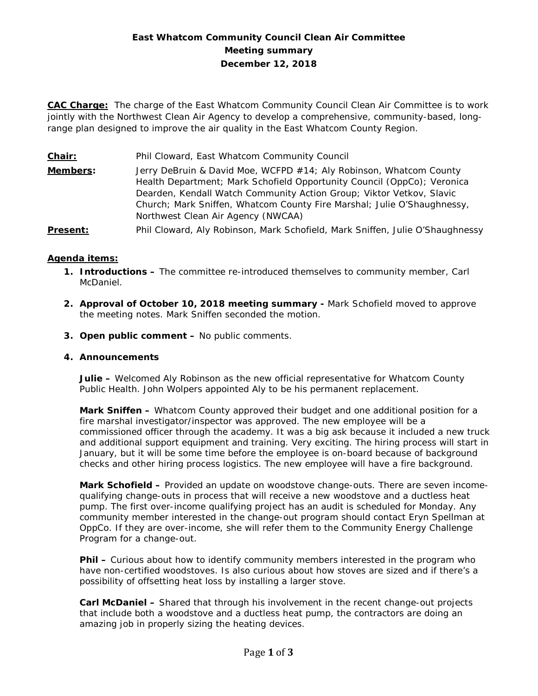# **East Whatcom Community Council Clean Air Committee Meeting summary December 12, 2018**

**CAC Charge:** The charge of the East Whatcom Community Council Clean Air Committee is to work jointly with the Northwest Clean Air Agency to develop a comprehensive, community-based, longrange plan designed to improve the air quality in the East Whatcom County Region.

**Chair:** Phil Cloward, East Whatcom Community Council **Members:** Jerry DeBruin & David Moe, WCFPD #14; Aly Robinson, Whatcom County Health Department; Mark Schofield Opportunity Council (OppCo); Veronica Dearden, Kendall Watch Community Action Group; Viktor Vetkov, Slavic Church; Mark Sniffen, Whatcom County Fire Marshal; Julie O'Shaughnessy, Northwest Clean Air Agency (NWCAA) **Present:** Phil Cloward, Aly Robinson, Mark Schofield, Mark Sniffen, Julie O'Shaughnessy

# **Agenda items:**

- **1. Introductions –** The committee re-introduced themselves to community member, Carl McDaniel.
- **2. Approval of October 10, 2018 meeting summary -** Mark Schofield moved to approve the meeting notes. Mark Sniffen seconded the motion.
- **3. Open public comment –** No public comments.

### **4. Announcements**

**Julie –** Welcomed Aly Robinson as the new official representative for Whatcom County Public Health. John Wolpers appointed Aly to be his permanent replacement.

**Mark Sniffen –** Whatcom County approved their budget and one additional position for a fire marshal investigator/inspector was approved. The new employee will be a commissioned officer through the academy. It was a big ask because it included a new truck and additional support equipment and training. Very exciting. The hiring process will start in January, but it will be some time before the employee is on-board because of background checks and other hiring process logistics. The new employee will have a fire background.

**Mark Schofield –** Provided an update on woodstove change-outs. There are seven incomequalifying change-outs in process that will receive a new woodstove and a ductless heat pump. The first over-income qualifying project has an audit is scheduled for Monday. Any community member interested in the change-out program should contact Eryn Spellman at OppCo. If they are over-income, she will refer them to the Community Energy Challenge Program for a change-out.

**Phil –** Curious about how to identify community members interested in the program who have non-certified woodstoves. Is also curious about how stoves are sized and if there's a possibility of offsetting heat loss by installing a larger stove.

**Carl McDaniel –** Shared that through his involvement in the recent change-out projects that include both a woodstove and a ductless heat pump, the contractors are doing an amazing job in properly sizing the heating devices.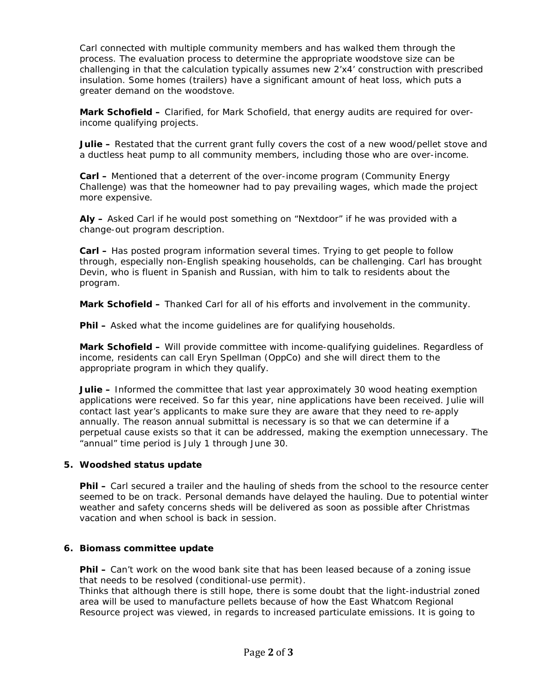Carl connected with multiple community members and has walked them through the process. The evaluation process to determine the appropriate woodstove size can be challenging in that the calculation typically assumes new 2'x4' construction with prescribed insulation. Some homes (trailers) have a significant amount of heat loss, which puts a greater demand on the woodstove.

**Mark Schofield –** Clarified, for Mark Schofield, that energy audits are required for overincome qualifying projects.

Julie - Restated that the current grant fully covers the cost of a new wood/pellet stove and a ductless heat pump to all community members, including those who are over-income.

**Carl –** Mentioned that a deterrent of the over-income program (Community Energy Challenge) was that the homeowner had to pay prevailing wages, which made the project more expensive.

**Aly –** Asked Carl if he would post something on "Nextdoor" if he was provided with a change-out program description.

**Carl –** Has posted program information several times. Trying to get people to follow through, especially non-English speaking households, can be challenging. Carl has brought Devin, who is fluent in Spanish and Russian, with him to talk to residents about the program.

**Mark Schofield –** Thanked Carl for all of his efforts and involvement in the community.

**Phil –** Asked what the income quidelines are for qualifying households.

**Mark Schofield –** Will provide committee with income-qualifying guidelines. Regardless of income, residents can call Eryn Spellman (OppCo) and she will direct them to the appropriate program in which they qualify.

**Julie –** Informed the committee that last year approximately 30 wood heating exemption applications were received. So far this year, nine applications have been received. Julie will contact last year's applicants to make sure they are aware that they need to re-apply annually. The reason annual submittal is necessary is so that we can determine if a perpetual cause exists so that it can be addressed, making the exemption unnecessary. The "annual" time period is July 1 through June 30.

### **5. Woodshed status update**

**Phil –** Carl secured a trailer and the hauling of sheds from the school to the resource center seemed to be on track. Personal demands have delayed the hauling. Due to potential winter weather and safety concerns sheds will be delivered as soon as possible after Christmas vacation and when school is back in session.

### **6. Biomass committee update**

**Phil –** Can't work on the wood bank site that has been leased because of a zoning issue that needs to be resolved (conditional-use permit).

Thinks that although there is still hope, there is some doubt that the light-industrial zoned area will be used to manufacture pellets because of how the East Whatcom Regional Resource project was viewed, in regards to increased particulate emissions. It is going to